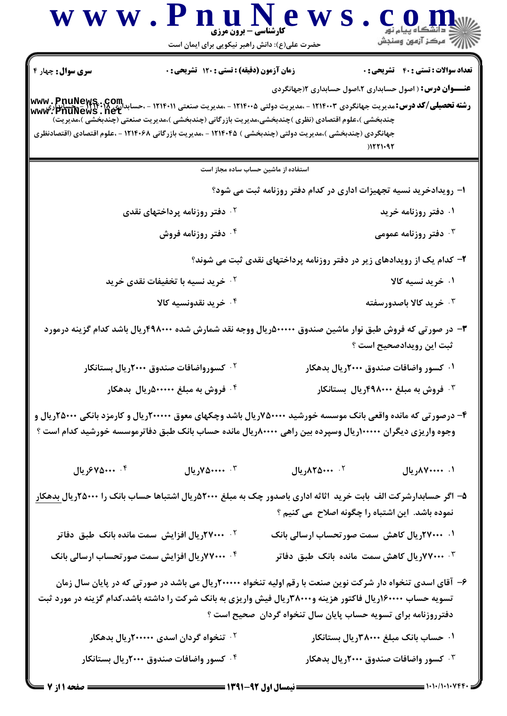|                          | www.PnuNews<br><b>۔ کارشناسی - برون مرزی</b><br>حضرت علی(ع): دانش راهبر نیکویی برای ایمان است                                                                                                                  |                   | د دانشڪاه پيام نور<br>\  √ مرڪز آزمون وسنڊش                                                                                                                                   |
|--------------------------|----------------------------------------------------------------------------------------------------------------------------------------------------------------------------------------------------------------|-------------------|-------------------------------------------------------------------------------------------------------------------------------------------------------------------------------|
| <b>سری سوال :</b> چهار ۴ | <b>زمان آزمون (دقیقه) : تستی : 120 گشریحی : 0</b>                                                                                                                                                              |                   | <b>تعداد سوالات : تستی : 40 قشریحی : 0</b>                                                                                                                                    |
|                          | چندبخشی )،علوم اقتصادی (نظری )چندبخشی،مدیریت بازرگانی (چندبخشی )،مدیریت صنعتی (چندبخشی )،مدیریت)<br>جهانگردی (چندبخشی )،مدیریت دولتی (چندبخشی ) ۱۲۱۴۰۴۵ - ،مدیریت بازرگانی ۱۲۱۴۰۶۸ - ،علوم اقتصادی (اقتصادنظری |                   | <b>عنـــوان درس:</b> ( اصول حسابداری ۲،اصول حسابداری ۱(جهانگردی<br>11221092                                                                                                   |
|                          | استفاده از ماشین حساب ساده مجاز است                                                                                                                                                                            |                   |                                                                                                                                                                               |
|                          |                                                                                                                                                                                                                |                   | ا– رویدادخرید نسیه تجهیزات اداری در کدام دفتر روزنامه ثبت می شود؟                                                                                                             |
|                          | ۰ <sup>۲</sup> دفتر روزنامه پرداختهای نقدی                                                                                                                                                                     |                   | ۰۱ دفتر روزنامه خرید                                                                                                                                                          |
|                          | ۰۴ دفتر روزنامه فروش                                                                                                                                                                                           |                   | ۰۳ دفتر روزنامه عمومی $\cdot$ ۳                                                                                                                                               |
|                          |                                                                                                                                                                                                                |                   | ۲- کدام یک از رویدادهای زیر در دفتر روزنامه پرداختهای نقدی ثبت می شوند؟                                                                                                       |
|                          | <sup>۲</sup> ۰ خرید نسیه با تخفیفات نقدی خرید                                                                                                                                                                  |                   | ۰۱ خرید نسیه کالا                                                                                                                                                             |
|                          | ۰۴ خرید نقدونسیه کالا                                                                                                                                                                                          |                   | ۰ <sup>۳</sup> خرید کالا باصدورسفته                                                                                                                                           |
|                          |                                                                                                                                                                                                                |                   | ۳– در صورتی که فروش طبق نوار ماشین صندوق ۵۰۰۰۰۰ دریال ووجه نقد شمارش شده ۴۹۸۰۰۰ریال باشد کدام گزینه درمورد<br>ثبت این رویدادصحیح است ؟                                        |
|                          | <sup>۲.</sup> کسورواضافات صندوق ۲۰۰۰ریال بستانکار                                                                                                                                                              |                   | ۰۱ کسور واضافات صندوق ۲۰۰۰ریال بدهکار                                                                                                                                         |
|                          | ۰۴ فروش به مبلغ ۵۰۰۰۰۰۵ریال بدهکار                                                                                                                                                                             |                   | ۰ <sup>۳ .</sup> فروش به مبلغ ۴۹۸۰۰۰۰ریال بستانکار                                                                                                                            |
|                          | وجوه واریزی دیگران ۱۰۰۰۰۰۰ریال وسپرده بین راهی ۸۰۰۰۰۰ریال مانده حساب بانک طبق دفاترموسسه خورشید کدام است ؟                                                                                                     |                   | ۴– درصورتی که مانده واقعی بانک موسسه خورشید ۷۵۰۰۰۰۰ریال باشد وچکهای معوق ۲۰۰۰۰۰ریال و کارمزد بانکی ۲۵۰۰۰۰ریال و                                                               |
| ۰۴ محریال                | ۰۳ منده ۷۵۰۰۰۰                                                                                                                                                                                                 | ٠٢ ٠٠٠٨٢٥٨٠٠ ريال | ۰۱ ۸۷۰۰۰۰۰ ریال                                                                                                                                                               |
|                          |                                                                                                                                                                                                                |                   | ۵– اگر حسابدارشرکت الف بابت خرید اثاثه اداری باصدور چک به مبلغ ۲۰۰۰&ریال اشتباها حساب بانک را ۲۵۰۰۰ریال <u>بدهکار</u><br>نموده باشد. این اشتباه را چگونه اصلاح ًمی کنیم ؟     |
|                          | <sup>۲</sup> ۰ <b>۲۷۰۰۰ریال افزایش سمت مانده بانک طبق دفاتر</b>                                                                                                                                                |                   | ۰۱ ۲۷۰۰۰ریال کاهش سمت صورتحساب ارسالی بانک                                                                                                                                    |
|                          | ۰۴ ۷۰۰۰۰ریال افزایش سمت صورتحساب ارسالی بانک                                                                                                                                                                   |                   | ۰ <sup>۳ ـ ۲</sup> ۷۷۰۰ <b>۰ ریال کاهش سمت مانده بانک طبق دفاتر</b>                                                                                                           |
|                          | تسویه حساب ۱۶۰۰۰۰ریال فاکتور هزینه و۲۸۰۰۰۰ریال فیش واریزی به بانک شرکت را داشته باشد،کدام گزینه در مورد ثبت                                                                                                    |                   | ۶– آقای اسدی تنخواه دار شرکت نوین صنعت با رقم اولیه تنخواه ۲۰۰۰۰۰ریال می باشد در صورتی که در پایان سال زمان<br>دفترروزنامه برای تسویه حساب پایان سال تنخواه گردان ًصحیح است ؟ |
|                          | <sup>۲</sup> ۰ تنخواه گردان اسدی ۲۰۰۰۰۰ریال بدهکار                                                                                                                                                             |                   | ۰۱ حساب بانک مبلغ ۳۸۰۰۰۰ریال بستانکار                                                                                                                                         |
|                          | ۰۴ کسور واضافات صندوق ۲۰۰۰ریال بستانکار                                                                                                                                                                        |                   | ۰۳ کسور واضافات صندوق ۲۰۰۰ریال بدهکار                                                                                                                                         |
|                          |                                                                                                                                                                                                                |                   |                                                                                                                                                                               |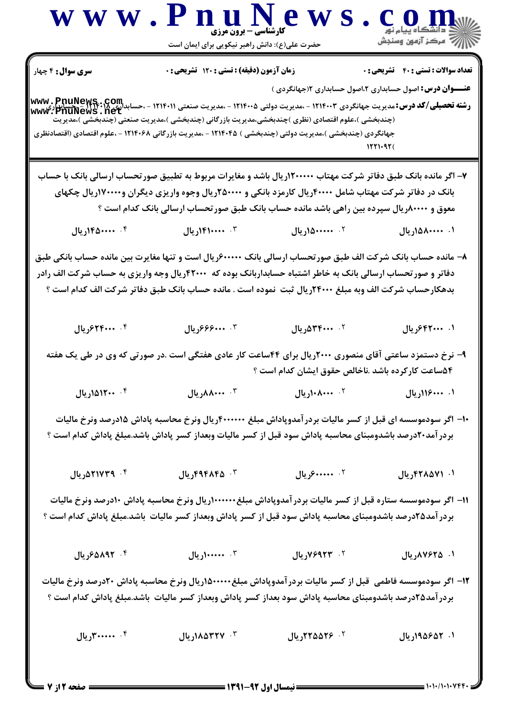

**: نیمسال اول 92-1391 =** 

صفحه 2 از 7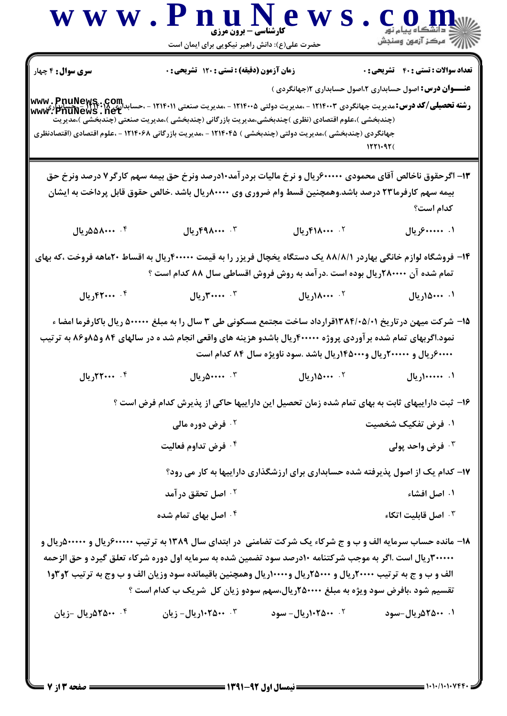|                                                                                                               | حضرت علی(ع): دانش راهبر نیکویی برای ایمان است                                                                                                                                                                                                                                                                                                                                                     |                                                                                 |                                            |
|---------------------------------------------------------------------------------------------------------------|---------------------------------------------------------------------------------------------------------------------------------------------------------------------------------------------------------------------------------------------------------------------------------------------------------------------------------------------------------------------------------------------------|---------------------------------------------------------------------------------|--------------------------------------------|
| سری سوال: ۴ چهار                                                                                              | زمان آزمون (دقیقه) : تستی : ۱۲۰ تشریحی : ۰                                                                                                                                                                                                                                                                                                                                                        |                                                                                 | <b>تعداد سوالات : تستی : 40 قشریحی : 0</b> |
|                                                                                                               | <b>www . PnuNews . Com .</b><br>و <b>شته تحصیلی/کد درس:</b> مدیریت جهانگردی ۱۲۱۴۰۰۳ - ،مدیریت دولتی ۱۲۱۴۰۰۵ - ،مدیریت صنعتی ۱۲۱۴۰۱۱ - ،حسابدالمع المعروب<br>www ، PnuNews . net<br>(چندبخشی )،علوم اقتصادی (نظری )چندبخشی،مدیریت بازرگانی (چندبخشی )،مدیریت صنعتی (چندبخشی )،مدیریت<br>جهانگردی (چندبخشی )،مدیریت دولتی (چندبخشی ) ۱۲۱۴۰۴۵ - ،مدیریت بازرگانی ۱۲۱۴۰۶۸ - ،علوم اقتصادی (اقتصادنظری | <b>عنــــوان درس:</b> اصول حسابداری ۲،اصول حسابداری ۱۲جهانگردی )                |                                            |
|                                                                                                               | ۱۳- اگرحقوق ناخالص آقای محمودی ۶۰۰۰۰۰۰ریال و نرخ مالیات بردرآمد۱۰درصد ونرخ حق بیمه سهم کارگر۷ درصد ونرخ حق<br>بیمه سهم کارفرما۲۳ درصد باشد.وهمچنین قسط وام ضروری وی ۸۰۰۰۰۰ریال باشد .خالص حقوق قابل پرداخت به ایشان                                                                                                                                                                               |                                                                                 | كدام است؟                                  |
| ۰۴ ۸۵۵۸۰۰۰ مریال                                                                                              | ۰۳ ۴۹۸۰۰۰۰ ریال                                                                                                                                                                                                                                                                                                                                                                                   | ٠٢ ١٨٠٠٠٠٠ ريال                                                                 | ۰۱ . ۶۰۰۰۰۰۰ ریال                          |
|                                                                                                               | ۱۴– فروشگاه لوازم خانگی بهاردر ۸۸/۸/۱ یک دستگاه یخچال فریزر را به قیمت ۴۰۰۰۰۰ ریال به اقساط ۲۰ماهه فروخت ،که بهای<br>تمام شده آن ۲۸۰۰۰۰ریال بوده است .درآمد به روش فروش اقساطی سال ۸۸ کدام است ؟                                                                                                                                                                                                  |                                                                                 |                                            |
| ۰۴ ۲۰۰۰ ۰۴ ریال                                                                                               | ۰۳ - ۳۰۰۰۰ ریال                                                                                                                                                                                                                                                                                                                                                                                   | ۰ <sup>۲</sup> ۸۰۰۰۰۰ریال                                                       | ۰۱ ۸۰۰۰۰ ریال                              |
| نمود.اگربهای تمام شده بر آوردی پروژه ۴۰۰۰۰۰ریال باشدو هزینه های واقعی انجام شد ه در سالهای ۸۴ و۸۵و۸۶ به ترتیب | ۱۵– شرکت میهن در تاریخ ۱۳۸۴/۰۵/۰۱قرارداد ساخت مجتمع مسکونی طی ۳ سال را به مبلغ ۵۰۰۰۰۰ ریال باکارفرما امضا ء                                                                                                                                                                                                                                                                                       |                                                                                 |                                            |
|                                                                                                               |                                                                                                                                                                                                                                                                                                                                                                                                   | ۶۰۰۰۰۰ ریال و ۲۰۰۰۰۰۰ریال و۴۵۰۰۰۰ریال باشد .سود ناویژه سال ۸۴ کدام است          |                                            |
| ۰۴ ۲۰۰۰ ۰۴ ريال                                                                                               | ۰۳ مندهریال                                                                                                                                                                                                                                                                                                                                                                                       | ۰۲ ۵۰۰۰ اریال                                                                   | ۰۱ ۱۰۰۰۰۰۰۰ ریال                           |
|                                                                                                               | ۱۶– ثبت داراییهای ثابت به بهای تمام شده زمان تحصیل این داراییها حاکی از پذیرش کدام فرض است ؟                                                                                                                                                                                                                                                                                                      |                                                                                 |                                            |
|                                                                                                               | ۰ <sup>۲</sup> فرض دوره مالی                                                                                                                                                                                                                                                                                                                                                                      |                                                                                 | ۰۱ فرض تفکیک شخصیت                         |
|                                                                                                               | ۰۴ فرض تداوم فعالیت                                                                                                                                                                                                                                                                                                                                                                               |                                                                                 | فرض واحد پولی $\cdot$                      |
|                                                                                                               |                                                                                                                                                                                                                                                                                                                                                                                                   | ۱۷- کدام یک از اصول پذیرفته شده حسابداری برای ارزشگذاری داراییها به کار می رود؟ |                                            |
|                                                                                                               | ۰ <sup>۲</sup> اصل تحقق در آمد                                                                                                                                                                                                                                                                                                                                                                    |                                                                                 | ۰۱ اصل افشاء                               |
|                                                                                                               | ۰ <sup>۴</sup> اصل بهای تمام شده                                                                                                                                                                                                                                                                                                                                                                  |                                                                                 | اصل قابليت اتكاء $\cdot$ "                 |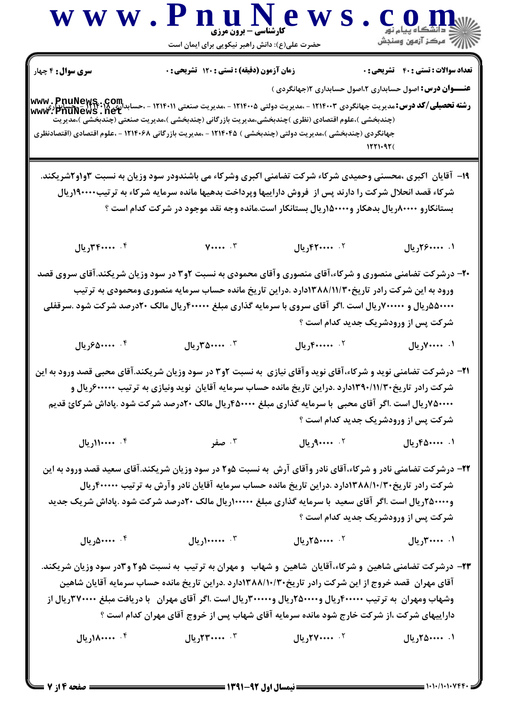

حضرت علی(ع): دانش راهبر نیکویی برای ایمان است

**تعداد سوالات : تستی : 40 - تشریحی : 0** 

زمان آزمون (دقيقه) : تستى : 120 تشريحي : 0

**سری سوال :** ۴ چهار

**عنـــوان درس:** اصول حسابداری ۲،اصول حسابداری ۱۲جهانگردی )

**رشته تحصیلی/کد درس: مدیریت جهانگردی ۱۲۱۴۰۰۲ - ،مدیریت دولتی ۱۲۱۴۰۰۵ - ،مدیریت صنعتی ۱۲۱۴۰۱۱ - ،حسابداری www . PnuNews<br>سعد ۱۳۵۲ - ۱۳۵۰۰۰ - ۱۳۵۰۰۰ - ۱۳۵۴۰۰ - ۱۳۵۴۰۰ - ۱۳۵۴۰۰ - ۱۳۵۴۰۰ - ۱۳۵۴۰۰ - ۱۳۵۴۰۰ - ۱۳۵۲۰۰ - ۱۳۵۲۰۰ - ۱** (چندبخشی )،علوم اقتصادی (نظری )چندبخشی،مدیریت بازرگانی (چندبخشی )،مدیریت صنعتی (چندبخشی )،مدیریت جهانگردی (چندبخشی )،مدیریت دولتی (چندبخشی ) ۱۲۱۴۰۴۵ - ،مدیریت بازرگانی ۱۲۱۴۰۶۸ - ،علوم اقتصادی (اقتصادنظری

- ۱۹- آقایان ۱کبری ،محسنی وحمیدی شرکاء شرکت تضامنی اکبری وشرکاء می باشندودر سود وزیان به نسبت ۳و۱و۲شریکند. شرکاء قصد انحلال شرکت را دارند پس از ً فروش داراییها وپرداخت بدهیها مانده سرمایه شرکاء به ترتیب۱۹۰۰۰۰ریال بستانکارو ۸۰۰۰۰۰ریال بدهکار و۵۰۰۰۰(ریال بستانکار است.مانده وجه نقد موجود در شرکت کدام است ؟
	- ۰۴ مندوم ۱۳۴، بال  $V \cdots$  .  $V$  $11, 57$ . ۰۰۰۰ ال ۰۱ ۲۶۰۰۰۰۰ ریال
- ۲۰- درشرکت تضامنی منصوری و شرکاء،آقای منصوری وآقای محمودی به نسبت ۲و۳ در سود وزیان شریکند.آقای سروی قصد ورود به این شرکت رادر تاریخ۱۳۸۸/۱۱/۳۰دارد .دراین تاریخ مانده حساب سرمایه منصوری ومحمودی به ترتیب ۵۵۰۰۰۰ دریال و ۷۰۰۰۰۰ ریال است .اگر آقای سروی با سرمایه گذاری مبلغ ۴۰۰۰۰۰ ریال مالک ۲۰درصد شرکت شود .سرقفلی شرکت پس از ورودشریک جدید کدام است ؟
	- ۰۴ منده ۶۵۰۰۰۰ رال ۰۳ . ۳۵۰۰۰۰ ریال ۲. ۴۰۰**۰۰۰, بال** ۰۱ - ۷۰۰۰۰, یال
- **۲۱** درشرکت تضامنی نوید و شرکاء،آقای نوید وآقای نیازی به نسبت ۲و۳ در سود وزیان شریکند.آقای محبی قصد ورود به این شرکت رادر تاریخ۱۳۹۰/۱۱/۳۰دارد .دراین تاریخ مانده حساب سرمایه آقایان نوید ونیازی به ترتیب ۶۰۰۰۰۰۰ریال و ۷۵۰۰۰۰{ریال است .اگر آقای محبی با سرمایه گذاری مبلغ ۴۵۰۰۰۰{ریال مالک ۲۰درصد شرکت شود .پاداش شرکائ قدیم شرکت پس از ورودشریک جدید کدام است ؟
	- ٠٢ ٠٠٠٠٠٩ريال ۰۴ ۱۱۰۰۰۰۰ ریال ۰۳ صفر ۰۱ ۴۵۰۰۰۰۰ ریال

۲۲- درشرکت تضامنی نادر و شرکاء،آقای نادر وآقای آرش به نسبت ۶۵ در سود وزیان شریکند.آقای سعید قصد ورود به این شرکت رادر تاریخ۲۰/۱۰/۳۸۸/۱۰/۳دارد .دراین تاریخ مانده حساب سرمایه آقایان نادر وآرش به ترتیب ۴۰۰۰۰۰۰ریال و۲۵۰۰۰۰ریال است .اگر آقای سعید با سرمایه گذاری مبلغ ۱۰۰۰۰۰ریال مالک ۲۰درصد شرکت شود .پاداش شریک جدید شرکت پس از ورودشریک جدید کدام است ؟

۰۴ ۰۰۰۰۰ ریال ۰۳ .......۱ریال ۰۲ ..... ۲۵۰۰۰ ریال ۰۱. ۳۰۰۰۰۰, پال

۲۳– درشرکت تضامنی شاهین و شرکاء،آقایان شاهین و شهاب و مهران به ترتیب به نسبت ۵و۲و۳در سود وزیان شریکند. آقای مهران قصد خروج از این شرکت رادر تاریخ۱۳۸۸/۱۰/۳۰دارد .دراین تاریخ مانده حساب سرمایه آقایان شاهین وشهاب ومهران به ترتیب ۴۰۰۰۰۰ ریال و۲۵۰۰۰۰ریال و۳۰۰۰۰۰ ریال است .اگر آقای مهران ۲ با دریافت مبلغ ۳۷۰۰۰۰ ریال از داراییهای شرکت ،از شرکت خارج شود مانده سرمایه آقای شهاب پس از خروج آقای مهران کدام است ؟

۰۴  $\cdots$ ۱۸۰۰۰۰ ریال $\mathfrak{h}$  $JU, YY$ ۰۰۰۰  $J<sup>2</sup>$  $1.$  ۲۷۰۰۰۰۰ ریال ۰۱ ۲۵۰۰۰۰۰ ریال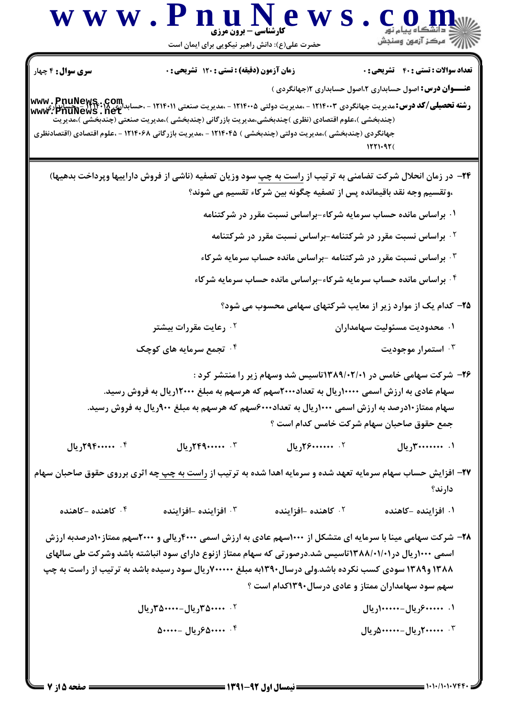| <b>سری سوال :</b> ۴ چهار                                                                                                                                                                                                                                                                       | زمان آزمون (دقیقه) : تستی : ۱۲۰ تشریحی : ۰                                                                                                                                                  |                            | <b>تعداد سوالات : تستي : 40 - تشريحي : 0</b>                                                                                                                     |
|------------------------------------------------------------------------------------------------------------------------------------------------------------------------------------------------------------------------------------------------------------------------------------------------|---------------------------------------------------------------------------------------------------------------------------------------------------------------------------------------------|----------------------------|------------------------------------------------------------------------------------------------------------------------------------------------------------------|
| <b>www . PnuNews . Com .</b><br>و <b>شته تحصیلی/کد درس:</b> مدیریت جهانگردی ۱۲۱۴۰۰۳ - ،مدیریت دولتی ۱۲۱۴۰۰۵ - ،مدیریت صنعتی ۱۲۱۴۰۱۱ - ،حسابدالله : ۱۳۱۴۰۲<br>www . PnuNews . net<br>جهانگردی (چندبخشی )،مدیریت دولتی (چندبخشی ) ۱۲۱۴۰۴۵ - ،مدیریت بازرگانی ۱۲۱۴۰۶۸ - ،علوم اقتصادی (اقتصادنظری | (چندبخشی )،علوم اقتصادی (نظری )چندبخشی،مدیریت بازرگانی (چندبخشی )،مدیریت صنعتی (چندبخشی )،مدیریت                                                                                            |                            | <b>عنــــوان درس:</b> اصول حسابداری ۲،اصول حسابداری ۱۲جهانگردی )                                                                                                 |
|                                                                                                                                                                                                                                                                                                |                                                                                                                                                                                             |                            | <b>۲۴</b> - در زمان انحلال شرکت تضامنی به ترتیب از <u>راست به چپ</u> سود وزیان تصفیه (ناشی از فروش داراییها وپرداخت بدهیها)                                      |
|                                                                                                                                                                                                                                                                                                |                                                                                                                                                                                             |                            | ،وتقسیم وجه نقد باقیمانده پس از تصفیه چگونه بین شرکاء تقسیم می شوند؟                                                                                             |
|                                                                                                                                                                                                                                                                                                |                                                                                                                                                                                             |                            | ۰۱ براساس مانده حساب سرمایه شرکاء-براساس نسبت مقرر در شرکتنامه                                                                                                   |
|                                                                                                                                                                                                                                                                                                |                                                                                                                                                                                             |                            | <sup>۰۲</sup> براساس نسبت مقرر در شرکتنامه-براساس نسبت مقرر در شرکتنامه                                                                                          |
|                                                                                                                                                                                                                                                                                                |                                                                                                                                                                                             |                            | ۰۳ براساس نسبت مقرر در شرکتنامه -براساس مانده حساب سرمایه شرکاء                                                                                                  |
|                                                                                                                                                                                                                                                                                                |                                                                                                                                                                                             |                            | ۰۴ براساس مانده حساب سرمایه شرکاء-براساس مانده حساب سرمایه شرکاء                                                                                                 |
|                                                                                                                                                                                                                                                                                                |                                                                                                                                                                                             |                            | ۲۵– کدام یک از موارد زیر از معایب شرکتهای سهامی محسوب می شود؟                                                                                                    |
|                                                                                                                                                                                                                                                                                                | ۰ <sup>۲</sup> رعایت مقررات بیشتر                                                                                                                                                           |                            | ۰۱ محدودیت مسئولیت سهامداران                                                                                                                                     |
|                                                                                                                                                                                                                                                                                                | ۰۴ تجمع سرمایه های کوچک                                                                                                                                                                     |                            | ۰ <sup>۳ .</sup> استمرار موجودیت                                                                                                                                 |
|                                                                                                                                                                                                                                                                                                | سهام عادی به ارزش اسمی ۱۰۰۰۰ریال به تعداد۲۰۰۰سهم که هرسهم به مبلغ ۱۲۰۰۰ریال به فروش رسید.<br>سهام ممتاز ۱۰درصد به ارزش اسمی ۱۰۰۰ریال به تعداد۶۰۰۰سهم که هرسهم به مبلغ ۹۰۰ریال به فروش رسید. |                            | ۲۶– شرکت سهامی خامس در ۱۳۸۹/۰۲/۰۱تاسیس شد وسهام زیر را منتشر کرد :<br>جمع حقوق صاحبان سهام شركت خامس كدام است ؟                                                  |
| ۰۴ ۲۹۴۰۰۰۰۰۰ ریال                                                                                                                                                                                                                                                                              | ۰۳ ۲۴۹۰۰۰۰۰۰ ریال                                                                                                                                                                           | ۲. ۲۶ <b>۰۰۰۰۰۰۰۰ ریال</b> | ۰۱ . ۳۰۰۰۰۰۰۰۰ ریال                                                                                                                                              |
| <mark>۳۷</mark> – افزایش حساب سهام سرمایه تعهد شده و سرمایه اهدا شده به ترتیب از <u>راست به چپ چ</u> ه اثری برروی حقوق صاحبان سهام                                                                                                                                                             |                                                                                                                                                                                             |                            | دارند؟                                                                                                                                                           |
| ۰۴ کاهنده -کاهنده                                                                                                                                                                                                                                                                              | ۰۳ افزاینده -افزاینده                                                                                                                                                                       | ۰۲ کاهنده -افزاینده        | ۰۱ افزاینده -کاهنده                                                                                                                                              |
| ۱۳۸۸ و۱۳۸۹ سودی کسب نکرده باشد.ولی درسال۱۳۹۰به مبلغ ۷۰۰۰۰۰۰ریال سود رسیده باشد به ترتیب از راست به چپ                                                                                                                                                                                          | اسمی ۱۰۰۰ریال در۱۲۸۸/۰۱/۰۱اتاسیس شد.درصورتی که سهام ممتاز ازنوع دارای سود انباشته باشد وشرکت طی سالهای                                                                                      |                            | ۲۸- شرکت سهامی مینا با سرمایه ای متشکل از ۱۰۰۰سهم عادی به ارزش اسمی ۴۰۰۰ریالی و ۲۰۰۰سهم ممتاز۱۰درصدبه ارزش<br>سهم سود سهامداران ممتاز و عادی درسال۱۳۹۰کدام است ؟ |
|                                                                                                                                                                                                                                                                                                | ۲. ۵۰۰۰۰–۳۵۰ <sub>۷ ر</sub> یال–۳۵۰۰۰۰–۳۵ <sub>۷</sub> ریال                                                                                                                                 |                            | ۱. ۴۰۰۰۰۰۰ریال-۱۰۰۰۰۰۰۰ریال                                                                                                                                      |
|                                                                                                                                                                                                                                                                                                | ۰۴ . ۵۰۰۰۰ مربال -۵۰۰۰۰                                                                                                                                                                     |                            | ۰ <sup>۳</sup> ۲۰۰ <b>۰۰۰۰ <sub>د</sub>یال-۵۰۰۰۰۰۰</b> دریال                                                                                                     |

 $\overline{a}$   $\overline{a}$ 

 $\sqrt{1}$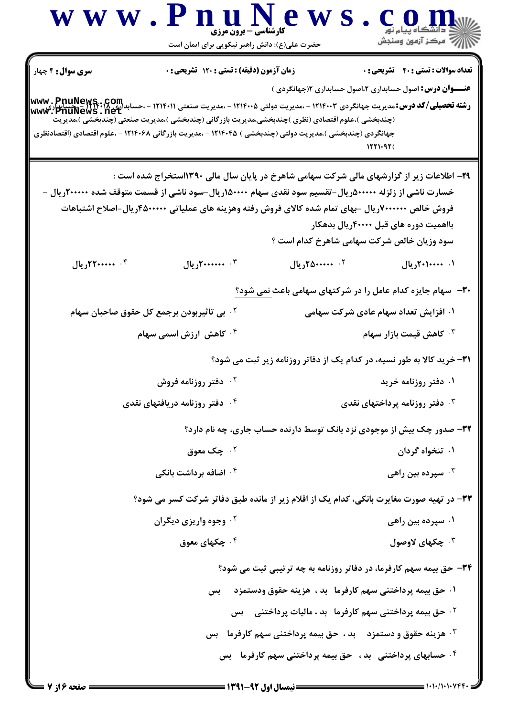

 $= 1.1.11.1.1999.$